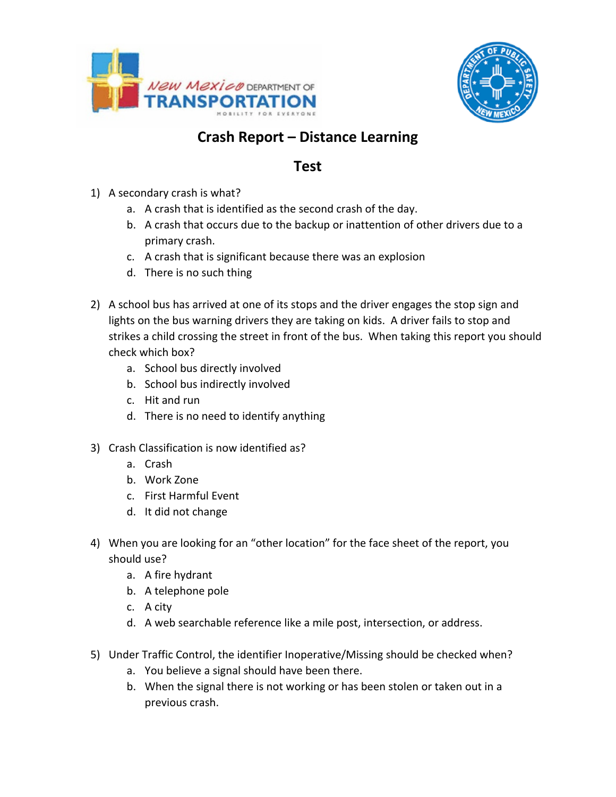



## **Crash Report – Distance Learning**

## **Test**

- 1) A secondary crash is what?
	- a. A crash that is identified as the second crash of the day.
	- b. A crash that occurs due to the backup or inattention of other drivers due to a primary crash.
	- c. A crash that is significant because there was an explosion
	- d. There is no such thing
- 2) A school bus has arrived at one of its stops and the driver engages the stop sign and lights on the bus warning drivers they are taking on kids. A driver fails to stop and strikes a child crossing the street in front of the bus. When taking this report you should check which box?
	- a. School bus directly involved
	- b. School bus indirectly involved
	- c. Hit and run
	- d. There is no need to identify anything
- 3) Crash Classification is now identified as?
	- a. Crash
	- b. Work Zone
	- c. First Harmful Event
	- d. It did not change
- 4) When you are looking for an "other location" for the face sheet of the report, you should use?
	- a. A fire hydrant
	- b. A telephone pole
	- c. A city
	- d. A web searchable reference like a mile post, intersection, or address.
- 5) Under Traffic Control, the identifier Inoperative/Missing should be checked when?
	- a. You believe a signal should have been there.
	- b. When the signal there is not working or has been stolen or taken out in a previous crash.